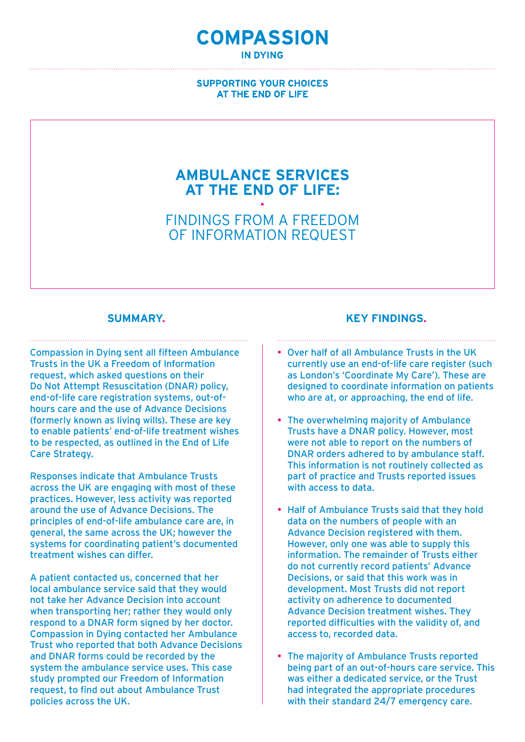## **COMPASSION IN DYING**

#### **SUPPORTING YOUR CHOICES** AT THE END OF LIFE

# **Ambulance services at the end of life: ·**

Findings from a Freedom of Information request

#### **Summary.**

Compassion in Dying sent all fifteen Ambulance Trusts in the UK a Freedom of Information request, which asked questions on their Do Not Attempt Resuscitation (DNAR) policy, end-of-life care registration systems, out-ofhours care and the use of Advance Decisions (formerly known as living wills). These are key to enable patients' end-of-life treatment wishes to be respected, as outlined in the End of Life Care Strategy.

Responses indicate that Ambulance Trusts across the UK are engaging with most of these practices. However, less activity was reported around the use of Advance Decisions. The principles of end-of-life ambulance care are, in general, the same across the UK; however the systems for coordinating patient's documented treatment wishes can differ.

A patient contacted us, concerned that her local ambulance service said that they would not take her Advance Decision into account when transporting her; rather they would only respond to a DNAR form signed by her doctor. Compassion in Dying contacted her Ambulance Trust who reported that both Advance Decisions and DNAR forms could be recorded by the system the ambulance service uses. This case study prompted our Freedom of Information request, to find out about Ambulance Trust policies across the UK.

#### **Key findings.**

- Over half of all Ambulance Trusts in the UK currently use an end-of-life care register (such as London's 'Coordinate My Care'). These are designed to coordinate information on patients who are at, or approaching, the end of life.
- The overwhelming majority of Ambulance Trusts have a DNAR policy. However, most were not able to report on the numbers of DNAR orders adhered to by ambulance staff. This information is not routinely collected as part of practice and Trusts reported issues with access to data.
- Half of Ambulance Trusts said that they hold data on the numbers of people with an Advance Decision registered with them. However, only one was able to supply this information. The remainder of Trusts either do not currently record patients' Advance Decisions, or said that this work was in development. Most Trusts did not report activity on adherence to documented Advance Decision treatment wishes. They reported difficulties with the validity of, and access to, recorded data.
- The majority of Ambulance Trusts reported being part of an out-of-hours care service. This was either a dedicated service, or the Trust had integrated the appropriate procedures with their standard 24/7 emergency care.